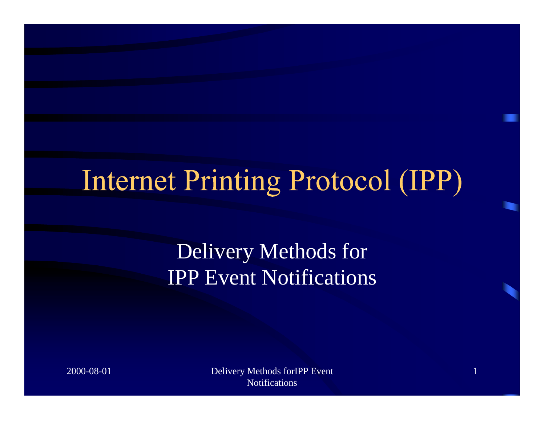## **Internet Printing Protocol (IPP)**

Delivery Methods for IPP Event Notifications

2000-08-01 Delivery Methods forIPP Event **Notifications** 

1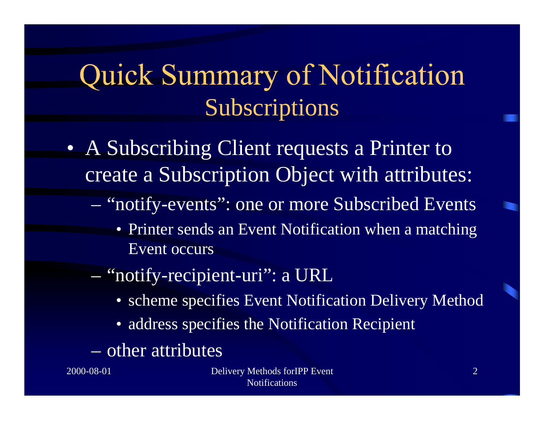### Quick Summary of Notification Subscriptions

- A Subscribing Client requests a Printer to create a Subscription Object with attributes:
	- and the contract of the contract of "notify-events": one or more Subscribed Events
		- Printer sends an Event Notification when a matching Event occurs
	- and the contract of the contract of "notify-recipient-uri": a URL
		- scheme specifies Event Notification Delivery Method
		- address specifies the Notification Recipient
	- other attributes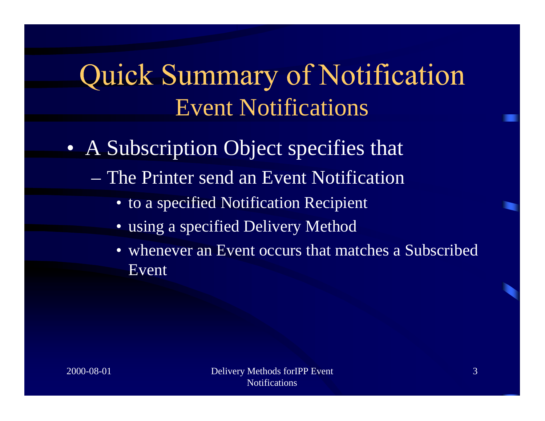### **Quick Summary of Notification** Event Notifications

- A Subscription Object specifies that
	- The Printer send an Event Notification
		- to a specified Notification Recipient
		- using a specified Delivery Method
		- whenever an Event occurs that matches a Subscribed Event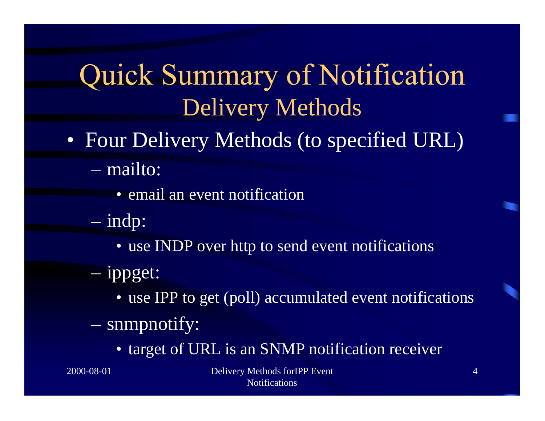## **Quick Summary of Notification** Delivery Methods

- Four Delivery Methods (to specified URL)
	- mailto:
		- email an event notification
	- and the contract of the contract of indp:
		- use INDP over http to send event notifications
	- and the contract of the contract of ippget:
		- use IPP to get (poll) accumulated event notifications
	- **Hart Communication**  snmpnotify:
		- target of URL is an SNMP notification receiver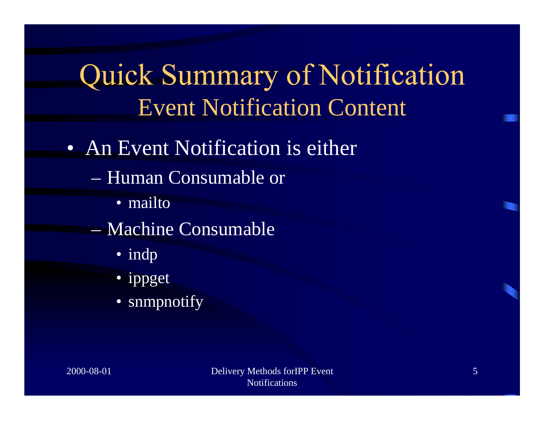### **Quick Summary of Notification** Event Notification Content

#### • An Event Notification is either

- Human Consumable or
	- mailto
- Machine Consumable
	- indp
	- ippget
	- snmpnotify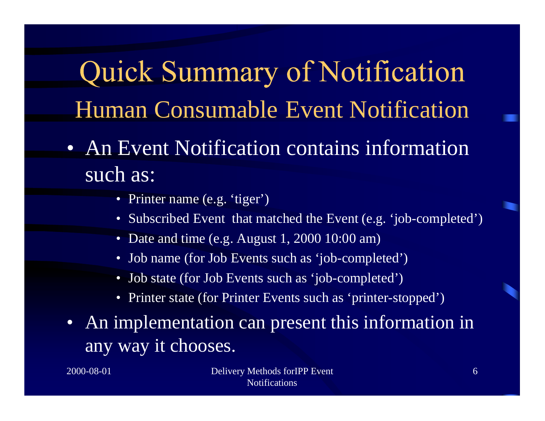**Quick Summary of Notification** Human Consumable Event Notification

- An Event Notification contains information such as:
	- Printer name (e.g. 'tiger')
	- Subscribed Event that matched the Event (e.g. 'job-completed')
	- Date and time (e.g. August 1, 2000 10:00 am)
	- Job name (for Job Events such as 'job-completed')
	- Job state (for Job Events such as 'job-completed')
	- Printer state (for Printer Events such as 'printer-stopped')
- An implementation can present this information in any way it chooses.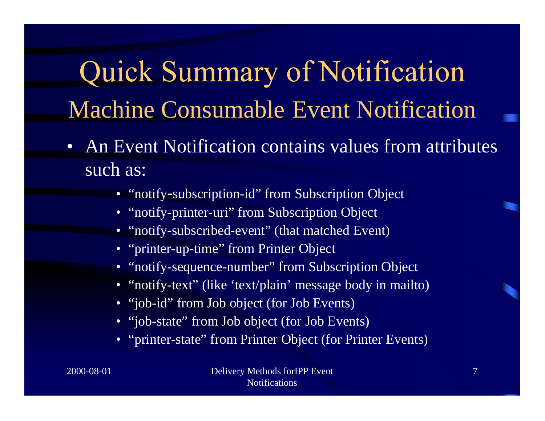# **Quick Summary of Notification** Machine Consumable Event Notification

- An Event Notification contains values from attributes such as:
	- "notify -subscription-id" from Subscription Object
	- "notify-printer-uri" from Subscription Object
	- "notify-subscribed-event" (that matched Event)
	- "printer-up-time" from Printer Object
	- "notify-sequence-number" from Subscription Object
	- "notify-text" (like 'text/plain' message body in mailto)
	- "job-id" from Job object (for Job Events)
	- "job-state" from Job object (for Job Events)
	- "printer-state" from Printer Object (for Printer Events)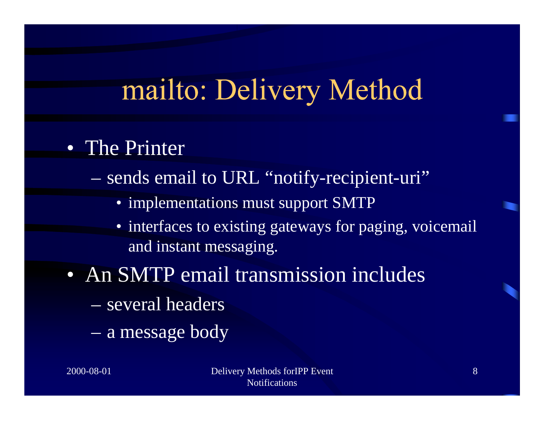## mailto: Delivery Method

#### • The Printer

and the contract of the contract of sends email to URL "notify-recipient-uri"

- implementations must support SMTP
- interfaces to existing gateways for paging, voicemail and instant messaging.

#### • An SMTP email transmission includes

- several headers
- **Hart Communication** a message body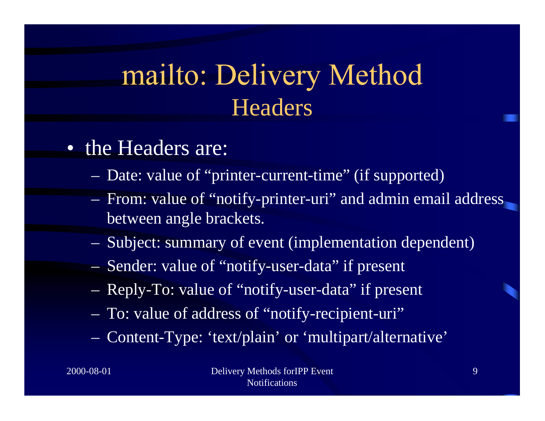### mailto: Delivery Method **Headers**

#### • the Headers are:

- Date: value of "printer-current-time" (if supported)
- From: value of "notify-printer-uri" and admin email address between angle brackets.
- Subject: summary of event (implementation dependent)
- Sender: value of "notify-user-data" if present
- Reply-To: value of "notify-user-data" if present
- To: value of address of "notify-recipient-uri"
- Content-Type: 'text/plain' or 'multipart/alternative'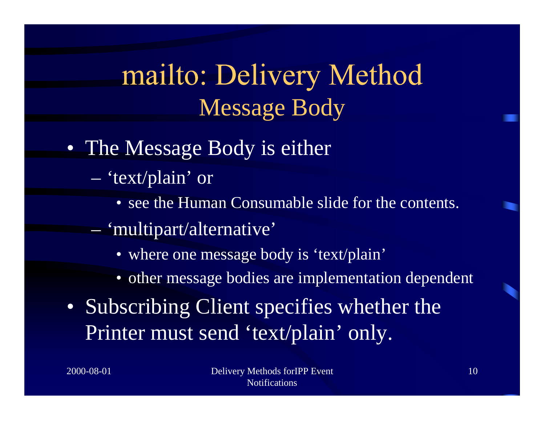### mailto: Delivery Method Message Body

#### • The Message Body is either

- and the contract of the contract of 'text/plain' or
	- see the Human Consumable slide for the contents.
- and the contract of the contract of 'multipart/alternative'
	- where one message body is 'text/plain'
	- other message bodies are implementation dependent
- Subscribing Client specifies whether the Printer must send 'text/plain' only.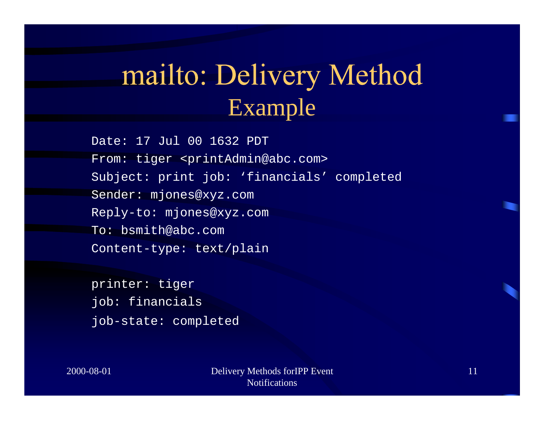### mailto: Delivery Method Example

Date: 17 Jul 00 1632 PDT From: tiger <printAdmin@abc.com> Subject: print job: 'financials' completed Sender: mjones@xyz.com Reply-to: mjones@xyz.com To: bsmith@abc.com Content-type: text/plain

printer: tiger job: financials job-state: completed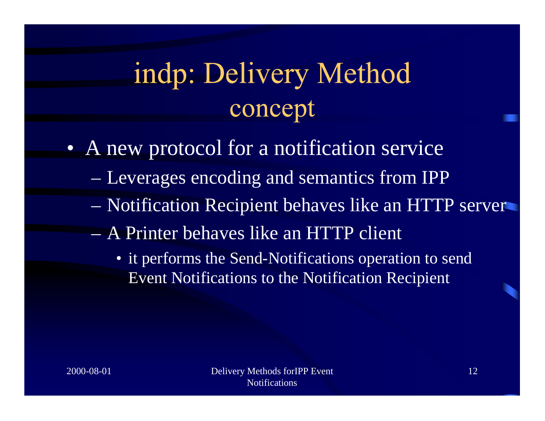## indp: Delivery Method concept

• A new protocol for a notification service

- **Hart Communication** Leverages encoding and semantics from IPP
- **Hart Communication** Notification Recipient behaves like an HTTP server
- A Printer behaves like an HTTP client
	- it performs the Send-Notifications operation to send Event Notifications to the Notification Recipient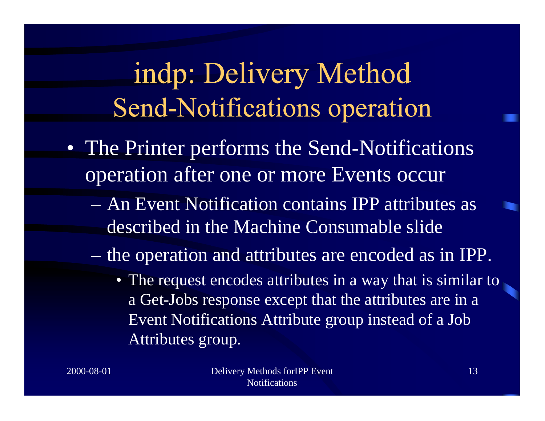### indp: Delivery Method Send-Notifications operation

- The Printer performs the Send-Notifications operation after one or more Events occur
	- An Event Notification contains IPP attributes as described in the Machine Consumable slide
	- **Hart Communication**  the operation and attributes are encoded as in IPP.
		- The request encodes attributes in a way that is similar to a Get-Jobs response except that the attributes are in a Event Notifications Attribute group instead of a Job Attributes group.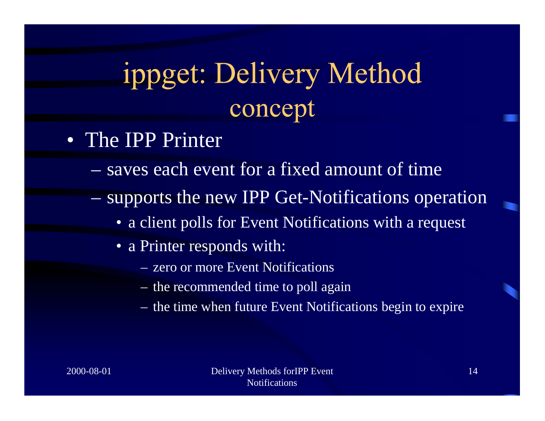## ippget: Delivery Method concept

- The IPP Printer
	- saves each event for a fixed amount of time
	- **Hart Communication**  supports the new IPP Get-Notifications operation
		- a client polls for Event Notifications with a request
		- a Printer responds with:
			- zero or more Event Notifications
			- the recommended time to poll again
			- the time when future Event Notifications begin to expire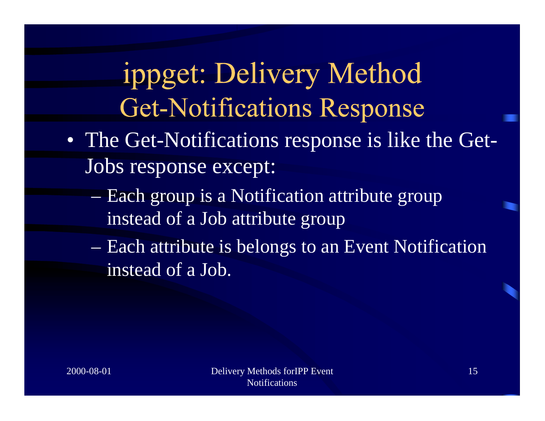## ippget: Delivery Method **Get-Notifications Response**

- The Get-Notifications response is like the Get-Jobs response except:
	- **Hart Communication**  Each group is a Notification attribute group instead of a Job attribute group
	- **Hart Communication**  Each attribute is belongs to an Event Notification instead of a Job.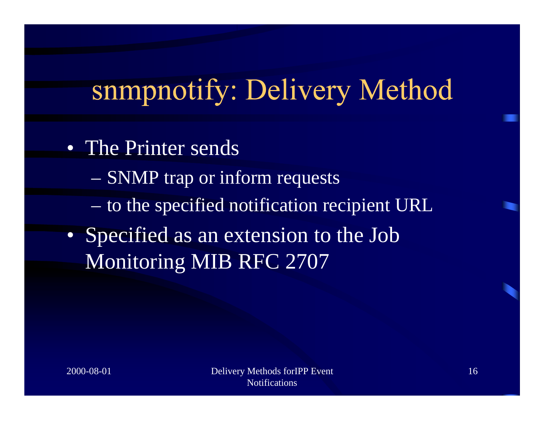# snmpnotify: Delivery Method

- The Printer sends
	- **Hart Communication** SNMP trap or inform requests
	- **Hart Communication** to the specified notification recipient URL
- Specified as an extension to the Job Monitoring MIB RFC 2707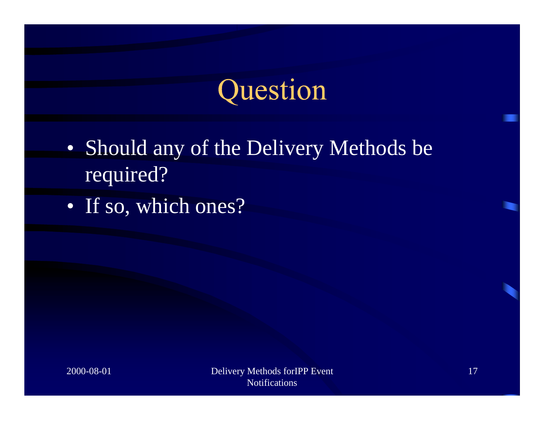## Question

- Should any of the Delivery Methods be required?
- If so, which ones?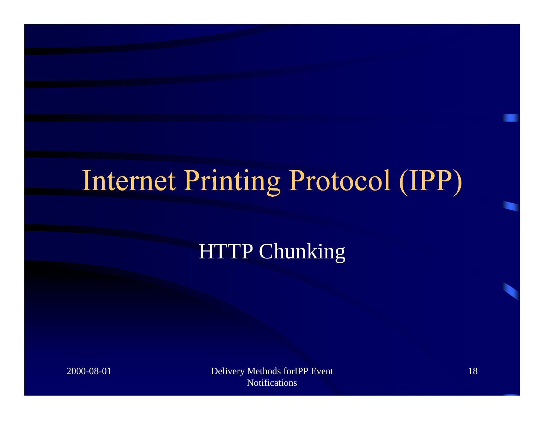# Internet Printing Protocol (IPP)

#### HTTP Chunking